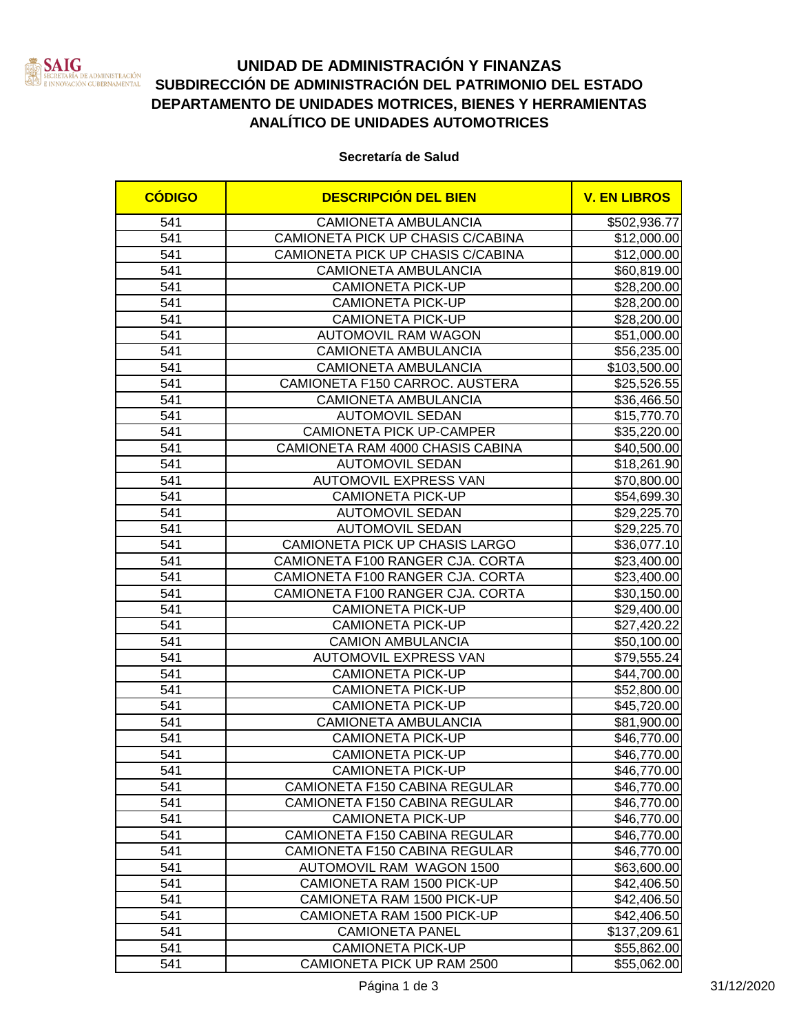

# **UNIDAD DE ADMINISTRACIÓN Y FINANZAS SUBDIRECCIÓN DE ADMINISTRACIÓN DEL PATRIMONIO DEL ESTADO DEPARTAMENTO DE UNIDADES MOTRICES, BIENES Y HERRAMIENTAS ANALÍTICO DE UNIDADES AUTOMOTRICES**

### **Secretaría de Salud**

| <b>CÓDIGO</b>    | <b>DESCRIPCIÓN DEL BIEN</b>          | <b>V. EN LIBROS</b> |
|------------------|--------------------------------------|---------------------|
| 541              | <b>CAMIONETA AMBULANCIA</b>          | \$502,936.77        |
| 541              | CAMIONETA PICK UP CHASIS C/CABINA    | \$12,000.00         |
| 541              | CAMIONETA PICK UP CHASIS C/CABINA    | \$12,000.00         |
| 541              | CAMIONETA AMBULANCIA                 | \$60,819.00         |
| 541              | <b>CAMIONETA PICK-UP</b>             | \$28,200.00         |
| 541              | <b>CAMIONETA PICK-UP</b>             | \$28,200.00         |
| 541              | <b>CAMIONETA PICK-UP</b>             | \$28,200.00         |
| 541              | <b>AUTOMOVIL RAM WAGON</b>           | \$51,000.00         |
| 541              | <b>CAMIONETA AMBULANCIA</b>          | \$56,235.00         |
| 541              | <b>CAMIONETA AMBULANCIA</b>          | \$103,500.00        |
| 541              | CAMIONETA F150 CARROC. AUSTERA       | \$25,526.55         |
| 541              | <b>CAMIONETA AMBULANCIA</b>          | \$36,466.50         |
| 541              | <b>AUTOMOVIL SEDAN</b>               | \$15,770.70         |
| 541              | <b>CAMIONETA PICK UP-CAMPER</b>      | \$35,220.00         |
| 541              | CAMIONETA RAM 4000 CHASIS CABINA     | \$40,500.00         |
| 541              | <b>AUTOMOVIL SEDAN</b>               | \$18,261.90         |
| 541              | <b>AUTOMOVIL EXPRESS VAN</b>         | \$70,800.00         |
| 541              | <b>CAMIONETA PICK-UP</b>             | \$54,699.30         |
| 541              | <b>AUTOMOVIL SEDAN</b>               | \$29,225.70         |
| 541              | <b>AUTOMOVIL SEDAN</b>               | \$29,225.70         |
| 541              | CAMIONETA PICK UP CHASIS LARGO       | \$36,077.10         |
| 541              | CAMIONETA F100 RANGER CJA. CORTA     | \$23,400.00         |
| 541              | CAMIONETA F100 RANGER CJA. CORTA     | \$23,400.00         |
| 541              | CAMIONETA F100 RANGER CJA. CORTA     | \$30,150.00         |
| 541              | <b>CAMIONETA PICK-UP</b>             | \$29,400.00]        |
| 541              | <b>CAMIONETA PICK-UP</b>             | \$27,420.22         |
| 541              | <b>CAMION AMBULANCIA</b>             | \$50,100.00         |
| 541              | <b>AUTOMOVIL EXPRESS VAN</b>         | \$79,555.24]        |
| 541              | <b>CAMIONETA PICK-UP</b>             | \$44,700.00         |
| 541              | <b>CAMIONETA PICK-UP</b>             | \$52,800.00         |
| 541              | <b>CAMIONETA PICK-UP</b>             | \$45,720.00         |
| 541              | <b>CAMIONETA AMBULANCIA</b>          | \$81,900.00         |
| 541              | <b>CAMIONETA PICK-UP</b>             | \$46,770.00         |
| 541              | <b>CAMIONETA PICK-UP</b>             | \$46,770.00         |
| $\overline{541}$ | <b>CAMIONETA PICK-UP</b>             | \$46,770.00         |
| 541              | CAMIONETA F150 CABINA REGULAR        | \$46,770.00         |
| 541              | CAMIONETA F150 CABINA REGULAR        | \$46,770.00         |
| 541              | <b>CAMIONETA PICK-UP</b>             | \$46,770.00         |
| 541              | <b>CAMIONETA F150 CABINA REGULAR</b> | \$46,770.00         |
| 541              | CAMIONETA F150 CABINA REGULAR        | \$46,770.00         |
| 541              | AUTOMOVIL RAM WAGON 1500             | \$63,600.00         |
| 541              | CAMIONETA RAM 1500 PICK-UP           | \$42,406.50         |
| 541              | CAMIONETA RAM 1500 PICK-UP           | \$42,406.50         |
| 541              | CAMIONETA RAM 1500 PICK-UP           | \$42,406.50         |
| 541              | <b>CAMIONETA PANEL</b>               | \$137,209.61        |
| 541              | <b>CAMIONETA PICK-UP</b>             | \$55,862.00         |
| 541              | CAMIONETA PICK UP RAM 2500           | \$55,062.00         |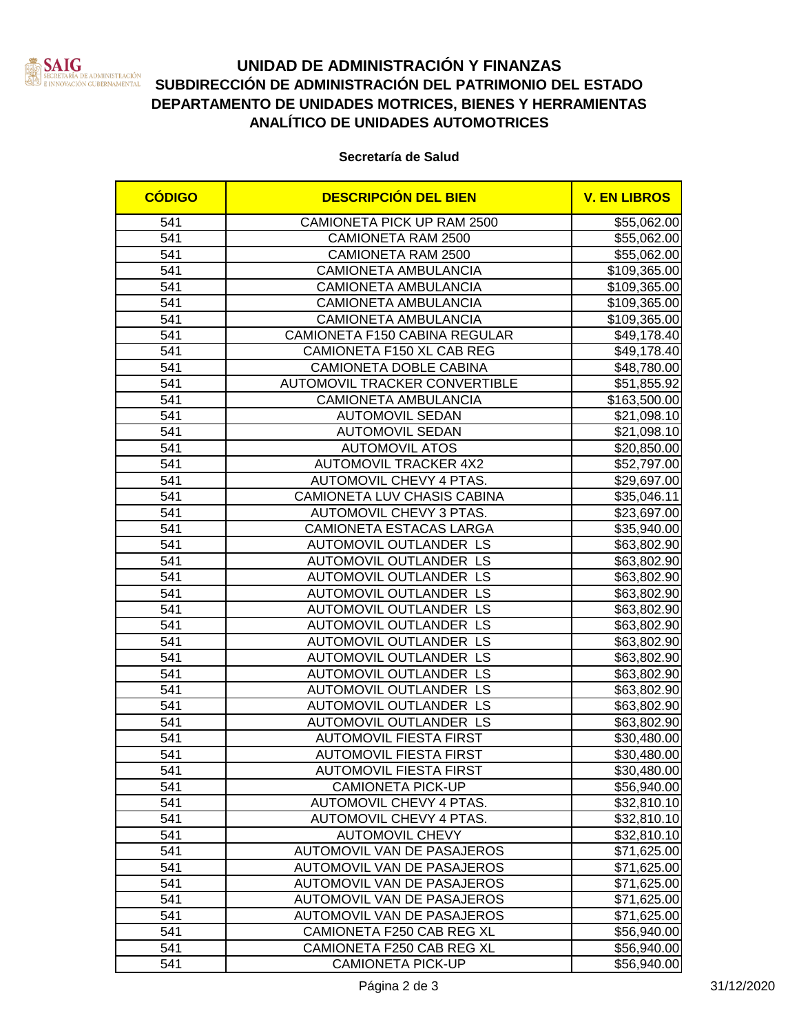

# **UNIDAD DE ADMINISTRACIÓN Y FINANZAS SUBDIRECCIÓN DE ADMINISTRACIÓN DEL PATRIMONIO DEL ESTADO DEPARTAMENTO DE UNIDADES MOTRICES, BIENES Y HERRAMIENTAS ANALÍTICO DE UNIDADES AUTOMOTRICES**

### **Secretaría de Salud**

| <b>CÓDIGO</b> | <b>DESCRIPCIÓN DEL BIEN</b>    | <b>V. EN LIBROS</b> |
|---------------|--------------------------------|---------------------|
| 541           | CAMIONETA PICK UP RAM 2500     | \$55,062.00         |
| 541           | CAMIONETA RAM 2500             | \$55,062.00         |
| 541           | CAMIONETA RAM 2500             | \$55,062.00         |
| 541           | CAMIONETA AMBULANCIA           | \$109,365.00        |
| 541           | <b>CAMIONETA AMBULANCIA</b>    | \$109,365.00        |
| 541           | <b>CAMIONETA AMBULANCIA</b>    | \$109,365.00        |
| 541           | <b>CAMIONETA AMBULANCIA</b>    | \$109,365.00        |
| 541           | CAMIONETA F150 CABINA REGULAR  | \$49,178.40         |
| 541           | CAMIONETA F150 XL CAB REG      | \$49,178.40         |
| 541           | CAMIONETA DOBLE CABINA         | \$48,780.00         |
| 541           | AUTOMOVIL TRACKER CONVERTIBLE  | \$51,855.92         |
| 541           | <b>CAMIONETA AMBULANCIA</b>    | \$163,500.00        |
| 541           | <b>AUTOMOVIL SEDAN</b>         | \$21,098.10         |
| 541           | <b>AUTOMOVIL SEDAN</b>         | \$21,098.10         |
| 541           | <b>AUTOMOVIL ATOS</b>          | \$20,850.00         |
| 541           | <b>AUTOMOVIL TRACKER 4X2</b>   | \$52,797.00         |
| 541           | <b>AUTOMOVIL CHEVY 4 PTAS.</b> | \$29,697.00         |
| 541           | CAMIONETA LUV CHASIS CABINA    | \$35,046.11         |
| 541           | AUTOMOVIL CHEVY 3 PTAS.        | \$23,697.00         |
| 541           | CAMIONETA ESTACAS LARGA        | \$35,940.00         |
| 541           | AUTOMOVIL OUTLANDER LS         | \$63,802.90         |
| 541           | AUTOMOVIL OUTLANDER LS         | \$63,802.90         |
| 541           | AUTOMOVIL OUTLANDER LS         | \$63,802.90         |
| 541           | AUTOMOVIL OUTLANDER LS         | \$63,802.90         |
| 541           | AUTOMOVIL OUTLANDER LS         | \$63,802.90         |
| 541           | AUTOMOVIL OUTLANDER LS         | \$63,802.90         |
| 541           | AUTOMOVIL OUTLANDER LS         | \$63,802.90         |
| 541           | AUTOMOVIL OUTLANDER LS         | \$63,802.90         |
| 541           | AUTOMOVIL OUTLANDER LS         | \$63,802.90         |
| 541           | AUTOMOVIL OUTLANDER LS         | \$63,802.90         |
| 541           | AUTOMOVIL OUTLANDER LS         | \$63,802.90         |
| 541           | AUTOMOVIL OUTLANDER LS         | \$63,802.90         |
| 541           | <b>AUTOMOVIL FIESTA FIRST</b>  | \$30,480.00         |
| 541           | <b>AUTOMOVIL FIESTA FIRST</b>  | \$30,480.00         |
| 541           | <b>AUTOMOVIL FIESTA FIRST</b>  | \$30,480.00         |
| 541           | <b>CAMIONETA PICK-UP</b>       | \$56,940.00         |
| 541           | AUTOMOVIL CHEVY 4 PTAS.        | \$32,810.10         |
| 541           | AUTOMOVIL CHEVY 4 PTAS.        | \$32,810.10         |
| 541           | <b>AUTOMOVIL CHEVY</b>         | \$32,810.10         |
| 541           | AUTOMOVIL VAN DE PASAJEROS     | \$71,625.00         |
| 541           | AUTOMOVIL VAN DE PASAJEROS     | \$71,625.00         |
| 541           | AUTOMOVIL VAN DE PASAJEROS     | \$71,625.00         |
| 541           | AUTOMOVIL VAN DE PASAJEROS     | \$71,625.00         |
| 541           | AUTOMOVIL VAN DE PASAJEROS     | \$71,625.00         |
| 541           | CAMIONETA F250 CAB REG XL      | \$56,940.00         |
| 541           | CAMIONETA F250 CAB REG XL      | \$56,940.00         |
| 541           | <b>CAMIONETA PICK-UP</b>       | \$56,940.00         |